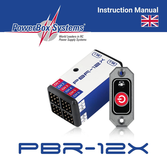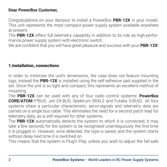#### **Dear PowerBox Customer,**

Congratulations on your decision to install a PowerBox **PBR-12X** in your model. This unit represents the most compact power supply system available anywhere at present.

The **PBR-12X** offers full telemetry capability in addition to its role as high-performance power supply system with electronic switch.

We are confident that you will have great pleasure and success with your **PBR-12X**!

#### 1.Installation, connections

In order to minimise the unit's dimensions, the case does not feature mounting lugs; instead the **PBR-12X** is installed using the self-adhesive pad supplied in the set. Since the unit is so light and compact, this represents an excellent method of mounting.

The **PBR-12X** can be used with any of four radio control systems: **PowerBox CORE/ATOM** P²BUS, Jeti EX-BUS, Spektrum SRXL2 and Futaba S.BUS2. All four systems share a particular characteristic: servo-signals and telemetry data are carried on a single bus cable. This eliminates the need for a second patch lead for telemetry data, as is still required for other systems.

The **PBR-12X** automatically detects the system to which it is connected; it may take a few seconds for the system to be recognised unambiguously the first time it is plugged in. However, once detected, the type is saved, and the system starts without delay next time it is switched on.

This means that the system is Plug'n Play, unless you wish to adjust the fail-safe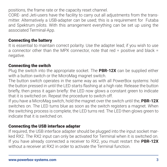positions, the frame rate or the capacity reset channel.

CORE- and Jeti-users have the facility to carry out all adjustments from the transmitter. Alternatively a USB-adapter can be used; this is a requirement for Futaba and Spektrum pilots. With this arrangement everything can be set up using the associated Terminal-App.

#### Connecting the battery

It is essential to maintain correct polarity. Use the adapter lead; if you wish to use a connector other than the MPX connector, note that red = positive and black = negative.

#### Connecting the switch

Plug the switch into the appropriate socket. The **PBR-12X** can be supplied either with a button switch or the MicroMag magnet switch.

The button switch operates in the same way as with all PowerBox systems: hold the button pressed in until the LED starts flashing at a high rate. Release the button briefly, then press it again briefly: the LED now glows a constant green to indicate that it is switched on. Repeat the procedure to switch off.

If you have a MicroMag switch, hold the magnet over the switch until the, **PBR-12X** switches on. The LED turns blue as soon as the switch registers a magnet. When the switching process is complete, the LED turns red. The LED then glows green to indicate that it is switched on.

#### Connecting the USB interface adapter

If required, the USB interface adapter should be plugged into the input socket marked RX2. The RX2 input can only be activated for Terminal when it is switched on. If you have already connected a receiver to RX2, you must restart the **PBR-12X** without a receiver at RX2 in order to activate the Terminal function.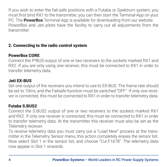If you wish to enter the fail-safe positions with a Futaba or Spektrum system, you must first bind RX1 to the transmitter; you can then start the Terminal-App on your PC. The **PowerBox** Terminal-App is available for downloading from our website. PowerBox and Jeti pilots have the facility to carry out all adjustments from the transmitter.

#### 2. Connecting to the radio control system

#### PowerBox CORE

Connect the P²BUS output of one or two receivers to the sockets marked RX1 and RX2. If you are only using one receiver, this must be connected to RX1 in order to transfer telemetry data.

#### Jeti EX-BUS

Set one output of the receivers you intend to use to EX-BUS. The frame rate should be set to 10ms, and the Failsafe-function must be switched "OFF". If only one receiver is connected, this must be connected to RX1 in order to transfer telemetry data.

#### Futaba S.BUS2

Connect the S.BUS2 output of one or two receivers to the sockets marked RX1 and RX2. If only one receiver is connected, this must be connected to RX1 in order to transfer telemetry data. At the transmitter this receiver must also be set as the Telemetry receiver.

To receive telemetry data you must carry out a "Load New" process at the transmitter in the Telemetry Sensor menu; this action completely erases the sensor list. Now select Slot 1 in the sensor list, and choose "Cur.F1678". The telemetry data now appear in Slot 1 onwards.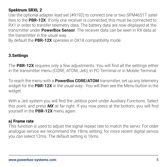#### Spektrum SRXL 2

Use the optional adapter lead set (#9192) to connect one or two SPM4651T satellites to the **PBR-12X**. If only one receiver is connected, this must be connected to RX1 in order to transfer telemetry data. The battery data are now displayed at the transmitter under **PowerBox Sensor**. The receiver data can be seen in RX data at the transmitter in the usual way.

By default the **PBR-12X** operates in DX18 compatibility mode.

#### 3.Settings

The **PBR-12X** requires only a few adjustments. You will find all the settings either in the transmitter menu (CORE, ATOM, Jeti), in PC-Terminal or in Mobile-Terminal.

To reach the menu with a **PowerBox CORE/ATOM** transmitter, set up any telemetry widget for the **PBR-12X** in the usual way-. You will then see the Menu button in the widget.

With a Jeti system you will find the Jetibox point under Auxiliary Functions. Select this point, and press *MX* at far right. If you now press at the bottom, you will find yourself in the **PBR-12X** menu again.

#### a) Frame rate

This function is used to adjust the signal repeat rate to match the servo. For older analogue servos we recommend the 18ms setting; for more recent digital servos you can select 12ms. The default setting is 16ms.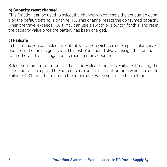#### b) Capacity reset channel

This function can be used to select the channel which resets the consumed capacity; the default setting is channel 16. This channel resets the consumed capacity when the travel exceeds 100%. You can use a switch or a button for this, and reset the capacity value once the battery has been charged.

#### c) Failsafe

In this menu you can select an output which you wish to run to a particular servo position if the radio signal should be lost. You should always assign this function to throttle, as this is a legal requirement in many countries.

Select your preferred output, and set the Failsafe mode to Failsafe. Pressing the Teach button accepts all the current servo positions for all outputs which are set to Failsafe. RX1 must be bound to the transmitter when you make this setting.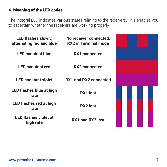## 4. Meaning of the LED codes

The integral LED indicates various states relating to the receivers. This enables you to ascertain whether the receivers are working properly.

| LED flashes slowly,<br>alternating red and blue | No receiver connected,<br><b>RX2</b> in Terminal mode |  |  |  |  |
|-------------------------------------------------|-------------------------------------------------------|--|--|--|--|
| <b>LED constant blue</b>                        | <b>RX1</b> connected                                  |  |  |  |  |
| <b>LED constant red</b>                         | <b>RX2</b> connected                                  |  |  |  |  |
| <b>LED constant violet</b>                      | RX1 and RX2 connected                                 |  |  |  |  |
| LED flashes blue at high<br>rate                | RX1 lost                                              |  |  |  |  |
| LED flashes red at high<br>rate                 | RX2 lost                                              |  |  |  |  |
| <b>LED flashes violet at</b><br>high rate       | RX1 and RX2 lost                                      |  |  |  |  |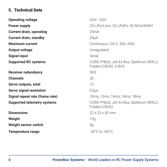### 5. Technical Data

| <b>Operating voltage</b>           | $4.0V - 9.0V$                                                                 |
|------------------------------------|-------------------------------------------------------------------------------|
| Power supply                       | 2S LiPo/Lilon, 2S LiFePo, 5S NiCd/NiMH                                        |
| <b>Current drain, operating</b>    | 25mA                                                                          |
| <b>Current drain, standby</b>      | 20 <sub>µ</sub> A                                                             |
| <b>Maximum current</b>             | Continuous 12A (< 30s: 20A)                                                   |
| Output voltage                     | Unregulated                                                                   |
| <b>Signal input</b>                | Serial                                                                        |
| <b>Supported RC systems</b>        | CORE P <sup>2</sup> BUS, Jeti Ex-Bus, Spektrum SRXL2,<br>Futaba S.BUS2, S.BUS |
| Receiver redundancy                | <b>SRS</b>                                                                    |
| <b>Channels</b>                    | 26                                                                            |
| Servo outputs, total               | 12                                                                            |
| Servo signal resolution            | $0.5µ$ s                                                                      |
| Signal repeat rate (frame rate)    | 10ms, 12ms, 14ms, 16ms, 18ms                                                  |
| <b>Supported telemetry systems</b> | CORE P <sup>2</sup> BUS, Jeti Ex-Bus, Spektrum SRXL2,<br>Futaba S.BUS2        |
| <b>Dimensions</b>                  | $22 \times 23 \times 42$ mm                                                   |
| Weight                             | 15q                                                                           |
| Weight sensor switch               | 6g                                                                            |
| <b>Temperature range</b>           | $-30^{\circ}$ C to $+85^{\circ}$ C                                            |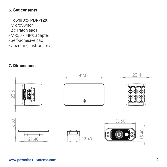#### 6. Set contents

- PowerBox **PBR-12X**
- MicroSwitch
- 2 x Patchleads
- MR30 / MPX adapter
- Self-adhesive pad
- Operating instructions

# 7. Dimensions

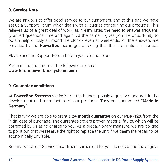#### 8. Service Note

We are anxious to offer good service to our customers, and to this end we have set up a Support Forum which deals with all queries concerning our products. This relieves us of a great deal of work, as it eliminates the need to answer frequently asked questions time and again. At the same it gives you the opportunity to obtain help quickly all round the clock - even at weekends. All the answers are provided by the **PowerBox Team**, guaranteeing that the information is correct.

Please use the Support Forum before you telephone us.

You can find the forum at the following address: **www.forum.powerbox-systems.com**

#### 9. Guarantee conditions

At **PowerBox-Systems** we insist on the highest possible quality standards in the development and manufacture of our products. They are guaranteed **"Made in Germany"**!

That is why we are able to grant a **24 month guarantee** on our **PBR-12X** from the initial date of purchase. The guarantee covers proven material faults, which will be corrected by us at no charge to you. As a precautionary measure, we are obliged to point out that we reserve the right to replace the unit if we deem the repair to be economically unviable.

Repairs which our Service department carries out for you do not extend the original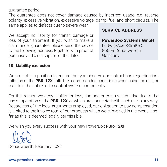guarantee period.

The guarantee does not cover damage caused by incorrect usage, e.g. reverse polarity, excessive vibration, excessive voltage, damp, fuel and short-circuits. The same applies to defects due to severe wear.

We accept no liability for transit damage or loss of your shipment. If you wish to make a claim under guarantee, please send the device to the following address, together with proof of purchase and a description of the defect:

# **SERVICE ADDRESS**

#### **PowerBox-Systems GmbH** Ludwig-Auer-Straße 5 86609 Donauwoerth

Germany

#### 10. Liability exclusion

We are not in a position to ensure that you observe our instructions regarding installation of the **PBR-12X**, fulfil the recommended conditions when using the unit, or maintain the entire radio control system competently.

For this reason we deny liability for loss, damage or costs which arise due to the use or operation of the **PBR-12X**, or which are connected with such use in any way. Regardless of the legal arguments employed, our obligation to pay compensation is limited to the invoice total of our products which were involved in the event, insofar as this is deemed legally permissible.

We wish you every success with your new PowerBox **PBR-12X!**

Donauwoerth, February 2022